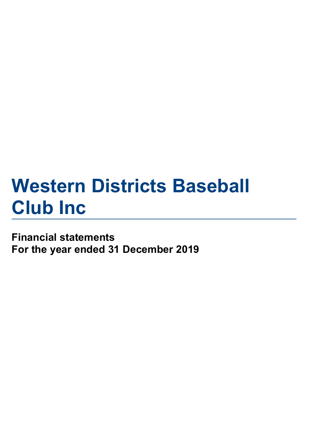# **Western Districts Baseball Club Inc**

## **Financial statements For the year ended 31 December 2019**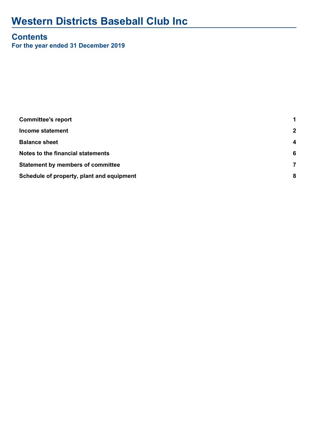# **Western Districts Baseball Club Inc**

## **Contents**

**For the year ended 31 December 2019**

| <b>Committee's report</b>                 | 1                |
|-------------------------------------------|------------------|
| <b>Income statement</b>                   | $\overline{2}$   |
| <b>Balance sheet</b>                      | $\boldsymbol{4}$ |
| Notes to the financial statements         | 6                |
| <b>Statement by members of committee</b>  | 7                |
| Schedule of property, plant and equipment | 8                |
|                                           |                  |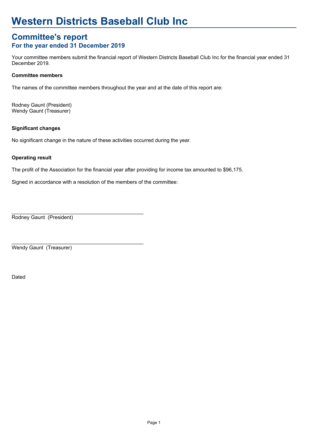# **Western Districts Baseball Club Inc**

#### **For the year ended 31 December 2019 Committee's report**

Your committee members submit the financial report of Western Districts Baseball Club Inc for the financial year ended 31 December 2019.

#### **Committee members**

The names of the committee members throughout the year and at the date of this report are:

Wendy Gaunt (Treasurer) Rodney Gaunt (President)

#### **Significant changes**

No significant change in the nature of these activities occurred during the year.

#### **Operating result**

The profit of the Association for the financial year after providing for income tax amounted to \$96,175.

Signed in accordance with a resolution of the members of the committee:

 $\_$  , and the set of the set of the set of the set of the set of the set of the set of the set of the set of the set of the set of the set of the set of the set of the set of the set of the set of the set of the set of th

\_\_\_\_\_\_\_\_\_\_\_\_\_\_\_\_\_\_\_\_\_\_\_\_\_\_\_\_\_\_\_\_\_\_\_\_\_\_\_\_\_\_\_\_\_\_

Rodney Gaunt (President)

Wendy Gaunt (Treasurer)

Dated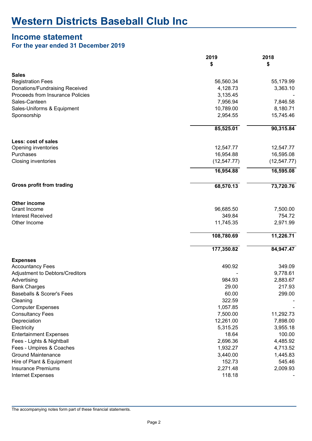#### **Income statement**

#### **For the year ended 31 December 2019**

|                                                  | 2019            | 2018         |
|--------------------------------------------------|-----------------|--------------|
|                                                  | \$              | \$           |
| <b>Sales</b>                                     |                 |              |
| <b>Registration Fees</b>                         | 56,560.34       | 55,179.99    |
| Donations/Fundraising Received                   | 4,128.73        | 3,363.10     |
| Proceeds from Insurance Policies                 | 3,135.45        |              |
| Sales-Canteen                                    | 7,956.94        | 7,846.58     |
| Sales-Uniforms & Equipment                       | 10,789.00       | 8,180.71     |
| Sponsorship                                      | 2,954.55        | 15,745.46    |
|                                                  | 85,525.01       | 90,315.84    |
| Less: cost of sales                              |                 |              |
| Opening inventories                              | 12,547.77       | 12,547.77    |
| Purchases                                        | 16,954.88       | 16,595.08    |
| <b>Closing inventories</b>                       | (12, 547.77)    | (12, 547.77) |
|                                                  | 16,954.88       | 16,595.08    |
| <b>Gross profit from trading</b>                 | 68,570.13       | 73,720.76    |
| Other income                                     |                 |              |
| <b>Grant Income</b>                              | 96,685.50       | 7,500.00     |
| <b>Interest Received</b>                         | 349.84          | 754.72       |
| Other Income                                     | 11,745.35       | 2,971.99     |
|                                                  | 108,780.69      | 11,226.71    |
|                                                  | 177,350.82      | 84,947.47    |
| <b>Expenses</b>                                  |                 |              |
| <b>Accountancy Fees</b>                          | 490.92          | 349.09       |
| Adjustment to Debtors/Creditors                  |                 | 9,778.61     |
| Advertising                                      | 984.93          | 2,883.67     |
| <b>Bank Charges</b><br>Baseballs & Scorer's Fees | 29.00           | 217.93       |
| Cleaning                                         | 60.00<br>322.59 | 299.00       |
| <b>Computer Expenses</b>                         | 1,057.85        |              |
| <b>Consultancy Fees</b>                          | 7,500.00        | 11,292.73    |
| Depreciation                                     | 12,261.00       | 7,898.00     |
| Electricity                                      | 5,315.25        | 3,955.18     |
| <b>Entertainment Expenses</b>                    | 18.64           | 100.00       |
| Fees - Lights & Nightball                        | 2,696.36        | 4,485.92     |
| Fees - Umpires & Coaches                         | 1,932.27        | 4,713.52     |
| <b>Ground Maintenance</b>                        | 3,440.00        | 1,445.83     |
| Hire of Plant & Equipment                        | 152.73          | 545.46       |
| <b>Insurance Premiums</b>                        | 2,271.48        | 2,009.93     |
| Internet Expenses                                | 118.18          |              |

The accompanying notes form part of these financial statements.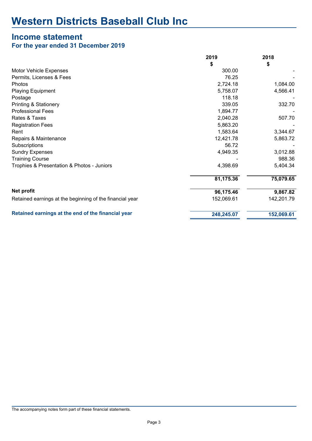# **Income statement**

| For the year ended 31 December 2019 |  |  |  |  |  |
|-------------------------------------|--|--|--|--|--|
|-------------------------------------|--|--|--|--|--|

|                                                          | 2019       | 2018       |
|----------------------------------------------------------|------------|------------|
|                                                          | \$         | \$         |
| <b>Motor Vehicle Expenses</b>                            | 300.00     |            |
| Permits, Licenses & Fees                                 | 76.25      |            |
| Photos                                                   | 2,724.18   | 1,084.00   |
| <b>Playing Equipment</b>                                 | 5,758.07   | 4,566.41   |
| Postage                                                  | 118.18     |            |
| <b>Printing &amp; Stationery</b>                         | 339.05     | 332.70     |
| <b>Professional Fees</b>                                 | 1,894.77   |            |
| Rates & Taxes                                            | 2,040.28   | 507.70     |
| <b>Registration Fees</b>                                 | 5,863.20   |            |
| Rent                                                     | 1,583.64   | 3,344.67   |
| Repairs & Maintenance                                    | 12,421.78  | 5,863.72   |
| Subscriptions                                            | 56.72      |            |
| <b>Sundry Expenses</b>                                   | 4,949.35   | 3,012.88   |
| <b>Training Course</b>                                   |            | 988.36     |
| Trophies & Presentation & Photos - Juniors               | 4,398.69   | 5,404.34   |
|                                                          | 81,175.36  | 75,079.65  |
| <b>Net profit</b>                                        | 96,175.46  | 9,867.82   |
| Retained earnings at the beginning of the financial year | 152,069.61 | 142,201.79 |
| Retained earnings at the end of the financial year       | 248,245.07 | 152,069.61 |
|                                                          |            |            |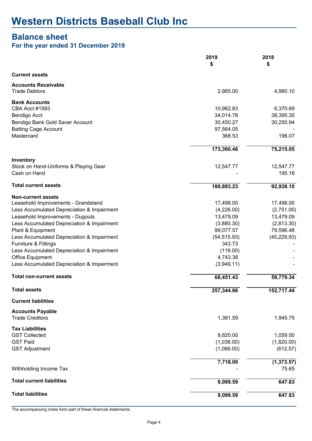### **Balance sheet**

#### **For the year ended 31 December 2019**

|                                            | 2019         | 2018         |
|--------------------------------------------|--------------|--------------|
|                                            | \$           | \$           |
| <b>Current assets</b>                      |              |              |
| <b>Accounts Receivable</b>                 |              |              |
| <b>Trade Debtors</b>                       | 2,985.00     | 4,980.10     |
| <b>Bank Accounts</b>                       |              |              |
| <b>CBA Acct #1593</b>                      | 10,962.83    | 6,370.69     |
| Bendigo Acct                               | 34,014.78    | 38,395.35    |
| Bendigo Bank Gold Saver Account            | 30,450.27    | 30,250.94    |
| <b>Batting Cage Account</b>                | 97,564.05    |              |
| Mastercard                                 | 368.53       | 198.07       |
|                                            | 173,360.46   | 75,215.05    |
| Inventory                                  |              |              |
| Stock on Hand-Uniforms & Playing Gear      | 12,547.77    | 12,547.77    |
| Cash on Hand                               |              | 195.18       |
| <b>Total current assets</b>                | 188,893.23   | 92,938.10    |
| <b>Non-current assets</b>                  |              |              |
| Leasehold Improvements - Grandstand        | 17,498.00    | 17,498.00    |
| Less Accumulated Depreciation & Impairment | (4,226.00)   | (2,751.00)   |
| Leasehold Improvements - Dugouts           | 13,479.09    | 13,479.09    |
| Less Accumulated Depreciation & Impairment | (3,880.30)   | (2,813.30)   |
| Plant & Equipment                          | 99,077.57    | 79,596.48    |
| Less Accumulated Depreciation & Impairment | (54, 515.93) | (45, 229.93) |
| Furniture & Fittings                       | 343.73       |              |
| Less Accumulated Depreciation & Impairment | (119.00)     |              |
| <b>Office Equipment</b>                    | 4,743.38     |              |
| Less Accumulated Depreciation & Impairment | (3,949.11)   |              |
| <b>Total non-current assets</b>            | 68,451.43    | 59,779.34    |
| <b>Total assets</b>                        | 257,344.66   | 152,717.44   |
| <b>Current liabilities</b>                 |              |              |
| <b>Accounts Payable</b>                    |              |              |
| <b>Trade Creditors</b>                     | 1,381.59     | 1,945.75     |
| <b>Tax Liabilities</b>                     |              |              |
| <b>GST Collected</b>                       | 9,820.00     | 1,059.00     |
| <b>GST Paid</b>                            | (1,036.00)   | (1,820.00)   |
| <b>GST Adjustment</b>                      | (1,066.00)   | (612.57)     |
|                                            | 7,718.00     | (1, 373.57)  |
| Withholding Income Tax                     |              | 75.65        |
| <b>Total current liabilities</b>           | 9,099.59     | 647.83       |
| <b>Total liabilities</b>                   | 9,099.59     | 647.83       |

The accompanying notes form part of these financial statements.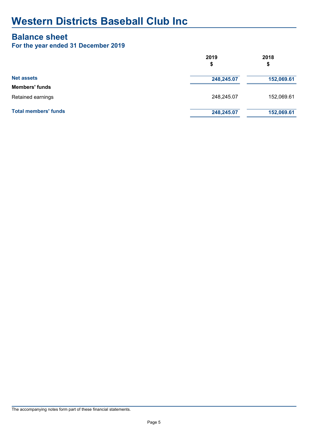#### **Balance sheet**

#### **For the year ended 31 December 2019**

|                             | 2019<br>\$ | 2018<br>\$ |  |  |
|-----------------------------|------------|------------|--|--|
| <b>Net assets</b>           | 248,245.07 | 152,069.61 |  |  |
| <b>Members' funds</b>       |            |            |  |  |
| Retained earnings           | 248,245.07 | 152,069.61 |  |  |
| <b>Total members' funds</b> | 248,245.07 | 152,069.61 |  |  |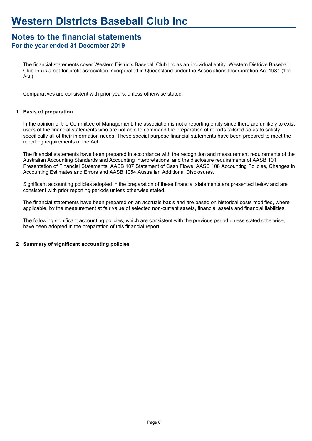#### **For the year ended 31 December 2019 Notes to the financial statements**

The financial statements cover Western Districts Baseball Club Inc as an individual entity. Western Districts Baseball Club Inc is a not-for-profit association incorporated in Queensland under the Associations Incorporation Act 1981 ('the Act').

Comparatives are consistent with prior years, unless otherwise stated.

#### **Basis of preparation 1**

In the opinion of the Committee of Management, the association is not a reporting entity since there are unlikely to exist users of the financial statements who are not able to command the preparation of reports tailored so as to satisfy specifically all of their information needs. These special purpose financial statements have been prepared to meet the reporting requirements of the Act.

The financial statements have been prepared in accordance with the recognition and measurement requirements of the Australian Accounting Standards and Accounting Interpretations, and the disclosure requirements of AASB 101 Presentation of Financial Statements, AASB 107 Statement of Cash Flows, AASB 108 Accounting Policies, Changes in Accounting Estimates and Errors and AASB 1054 Australian Additional Disclosures.

Significant accounting policies adopted in the preparation of these financial statements are presented below and are consistent with prior reporting periods unless otherwise stated.

The financial statements have been prepared on an accruals basis and are based on historical costs modified, where applicable, by the measurement at fair value of selected non-current assets, financial assets and financial liabilities.

The following significant accounting policies, which are consistent with the previous period unless stated otherwise, have been adopted in the preparation of this financial report.

#### **2 Summary of significant accounting policies**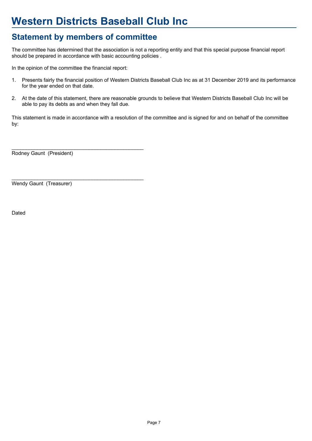# **Western Districts Baseball Club Inc**

## **Statement by members of committee**

The committee has determined that the association is not a reporting entity and that this special purpose financial report should be prepared in accordance with basic accounting policies .

In the opinion of the committee the financial report:

 $\_$  , and the set of the set of the set of the set of the set of the set of the set of the set of the set of the set of the set of the set of the set of the set of the set of the set of the set of the set of the set of th

- 1. Presents fairly the financial position of Western Districts Baseball Club Inc as at 31 December 2019 and its performance for the year ended on that date.
- 2. At the date of this statement, there are reasonable grounds to believe that Western Districts Baseball Club Inc will be able to pay its debts as and when they fall due.

This statement is made in accordance with a resolution of the committee and is signed for and on behalf of the committee by:

Rodney Gaunt (President)

\_\_\_\_\_\_\_\_\_\_\_\_\_\_\_\_\_\_\_\_\_\_\_\_\_\_\_\_\_\_\_\_\_\_\_\_\_\_\_\_\_\_\_\_\_\_ Wendy Gaunt (Treasurer)

Dated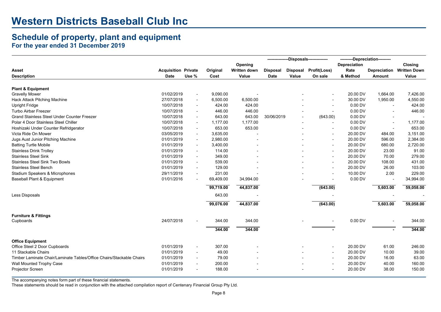## **Schedule of property, plant and equipment**

**For the year ended 31 December 2019**

|                                                                      |                            |                          |           |              | -Disposals---   |       | --------Depreciation--------- |              |                |                     |
|----------------------------------------------------------------------|----------------------------|--------------------------|-----------|--------------|-----------------|-------|-------------------------------|--------------|----------------|---------------------|
|                                                                      |                            |                          |           | Opening      |                 |       |                               | Depreciation |                | <b>Closing</b>      |
| Asset                                                                | <b>Acquisition Private</b> |                          | Original  | Written down | <b>Disposal</b> |       | Disposal Profit(Loss)         | Rate         | Depreciation   | <b>Written Down</b> |
| <b>Description</b>                                                   | <b>Date</b>                | Use %                    | Cost      | Value        | Date            | Value | On sale                       | & Method     | Amount         | Value               |
|                                                                      |                            |                          |           |              |                 |       |                               |              |                |                     |
| <b>Plant &amp; Equipment</b>                                         |                            |                          |           |              |                 |       |                               |              |                |                     |
| <b>Gravelly Mower</b>                                                | 01/02/2019                 | $\overline{\phantom{a}}$ | 9,090.00  |              |                 |       |                               | 20.00 DV     | 1,664.00       | 7,426.00            |
| Hack Attack Pitching Machine                                         | 27/07/2018                 | $\overline{\phantom{a}}$ | 6,500.00  | 6,500.00     |                 |       |                               | 30.00 DV     | 1,950.00       | 4,550.00            |
| <b>Upright Fridge</b>                                                | 10/07/2018                 | $\overline{\phantom{a}}$ | 424.00    | 424.00       |                 |       | $\overline{\phantom{a}}$      | 0.00 DV      | $\blacksquare$ | 424.00              |
| Turbo Airbar Freezer                                                 | 10/07/2018                 | $\overline{\phantom{a}}$ | 446.00    | 446.00       |                 |       | $\overline{\phantom{a}}$      | 0.00 DV      |                | 446.00              |
| <b>Grand Stainless Steel Under Counter Freezer</b>                   | 10/07/2018                 | $\overline{\phantom{a}}$ | 643.00    | 643.00       | 30/06/2019      |       | (643.00)                      | 0.00 DV      |                |                     |
| Polar 4 Door Stainless Steel Chiller                                 | 10/07/2018                 | $\overline{\phantom{a}}$ | 1,177.00  | 1,177.00     |                 |       |                               | 0.00 DV      |                | 1,177.00            |
| Hoshizaki Under Counter Refridgerator                                | 10/07/2018                 | $\overline{\phantom{a}}$ | 653.00    | 653.00       |                 |       |                               | 0.00 DV      |                | 653.00              |
| Victa Ride On Mower                                                  | 03/05/2019                 | $\overline{\phantom{a}}$ | 3,635.00  |              |                 |       | $\overline{\phantom{a}}$      | 20.00 DV     | 484.00         | 3,151.00            |
| Jugs Aust Junior Pitching Machine                                    | 01/01/2019                 | $\overline{\phantom{a}}$ | 2,980.00  |              |                 |       |                               | 20.00 DV     | 596.00         | 2,384.00            |
| <b>Batting Turtle Mobile</b>                                         | 01/01/2019                 | $\overline{\phantom{a}}$ | 3,400.00  |              |                 |       | $\overline{\phantom{a}}$      | 20.00 DV     | 680.00         | 2,720.00            |
| <b>Stainless Drink Trolley</b>                                       | 01/01/2019                 | $\overline{\phantom{a}}$ | 114.00    |              |                 |       | $\overline{\phantom{0}}$      | 20.00 DV     | 23.00          | 91.00               |
| <b>Stainless Steel Sink</b>                                          | 01/01/2019                 |                          | 349.00    |              |                 |       |                               | 20.00 DV     | 70.00          | 279.00              |
| <b>Stainless Steel Sink Two Bowls</b>                                | 01/01/2019                 |                          | 539.00    |              |                 |       | $\overline{\phantom{a}}$      | 20.00 DV     | 108.00         | 431.00              |
| <b>Stainless Steel Bench</b>                                         | 01/01/2019                 | $\overline{\phantom{a}}$ | 129.00    |              |                 |       | $\overline{\phantom{a}}$      | 20.00 DV     | 26.00          | 103.00              |
| Stadium Speakers & Microphones                                       | 29/11/2019                 | $\overline{\phantom{a}}$ | 231.00    |              |                 |       | $\overline{\phantom{a}}$      | 10.00 DV     | 2.00           | 229.00              |
| Baseball Plant & Equipment                                           | 01/01/2016                 |                          | 69,409.00 | 34,994.00    |                 |       | $\overline{\phantom{a}}$      | 0.00 DV      |                | 34,994.00           |
|                                                                      |                            |                          | 99,719.00 | 44,837.00    |                 |       | (643.00)                      |              | 5,603.00       | 59,058.00           |
| Less Disposals                                                       |                            |                          | 643.00    |              |                 |       |                               |              |                |                     |
|                                                                      |                            |                          | 99,076.00 | 44,837.00    |                 |       | (643.00)                      |              | 5,603.00       | 59,058.00           |
| <b>Furniture &amp; Fittings</b>                                      |                            |                          |           |              |                 |       |                               |              |                |                     |
| Cupboards                                                            | 24/07/2018                 |                          | 344.00    | 344.00       |                 |       |                               | 0.00 DV      |                | 344.00              |
|                                                                      |                            |                          | 344.00    | 344.00       |                 |       |                               |              |                | 344.00              |
|                                                                      |                            |                          |           |              |                 |       |                               |              |                |                     |
| <b>Office Equipment</b>                                              |                            |                          |           |              |                 |       |                               |              |                |                     |
| Office Steel 2 Door Cupboards                                        | 01/01/2019                 | $\overline{\phantom{a}}$ | 307.00    |              |                 |       |                               | 20.00 DV     | 61.00          | 246.00              |
| 11 Stackable Chairs                                                  | 01/01/2019                 | $\overline{\phantom{a}}$ | 49.00     |              |                 |       | $\overline{\phantom{a}}$      | 20.00 DV     | 10.00          | 39.00               |
| Timber Laminate Chair/Laminate Tables/Office Chairs/Stackable Chairs | 01/01/2019                 | $\overline{\phantom{a}}$ | 79.00     |              |                 |       |                               | 20.00 DV     | 16.00          | 63.00               |
| Wall Mounted Trophy Case                                             | 01/01/2019                 | $\overline{\phantom{a}}$ | 200.00    |              |                 |       | $\overline{\phantom{a}}$      | 20.00 DV     | 40.00          | 160.00              |
| Projector Screen                                                     | 01/01/2019                 |                          | 188.00    |              |                 |       | $\overline{\phantom{a}}$      | 20.00 DV     | 38.00          | 150.00              |

The accompanying notes form part of these financial statements.

These statements should be read in conjunction with the attached compilation report of Centenary Financial Group Pty Ltd.